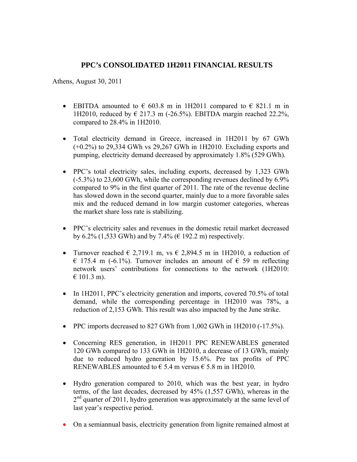# **PPC's CONSOLIDATED 1H2011 FINANCIAL RESULTS**

Athens, August 30, 2011

- EBITDA amounted to  $\epsilon$  603.8 m in 1H2011 compared to  $\epsilon$  821.1 m in 1H2010, reduced by € 217.3 m (-26.5%). EBITDA margin reached 22.2%, compared to 28.4% in 1H2010.
- Total electricity demand in Greece, increased in 1H2011 by 67 GWh (+0.2%) to 29,334 GWh vs 29,267 GWh in 1H2010. Excluding exports and pumping, electricity demand decreased by approximately 1.8% (529 GWh).
- PPC's total electricity sales, including exports, decreased by 1,323 GWh (-5.3%) to 23,600 GWh, while the corresponding revenues declined by 6.9% compared to 9% in the first quarter of 2011. The rate of the revenue decline has slowed down in the second quarter, mainly due to a more favorable sales mix and the reduced demand in low margin customer categories, whereas the market share loss rate is stabilizing.
- PPC's electricity sales and revenues in the domestic retail market decreased by 6.2% (1,533 GWh) and by 7.4% ( $\in$  192.2 m) respectively.
- Turnover reached  $\in$  2,719.1 m, vs  $\in$  2,894.5 m in 1H2010, a reduction of  $\in$  175.4 m (-6.1%). Turnover includes an amount of  $\in$  59 m reflecting network users' contributions for connections to the network (1H2010:  $€ 101.3$  m).
- In 1H2011, PPC's electricity generation and imports, covered 70.5% of total demand, while the corresponding percentage in 1H2010 was 78%, a reduction of 2,153 GWh. This result was also impacted by the June strike.
- PPC imports decreased to 827 GWh from 1,002 GWh in 1H2010 (-17.5%).
- Concerning RES generation, in 1H2011 PPC RENEWABLES generated 120 GWh compared to 133 GWh in 1H2010, a decrease of 13 GWh, mainly due to reduced hydro generation by 15.6%. Pre tax profits of PPC RENEWABLES amounted to  $\epsilon$  5.4 m versus  $\epsilon$  5.8 m in 1H2010.
- Ηydro generation compared to 2010, which was the best year, in hydro terms, of the last decades, decreased by 45% (1,557 GWh), whereas in the  $2<sup>nd</sup>$  quarter of 2011, hydro generation was approximately at the same level of last year's respective period.
- On a semiannual basis, electricity generation from lignite remained almost at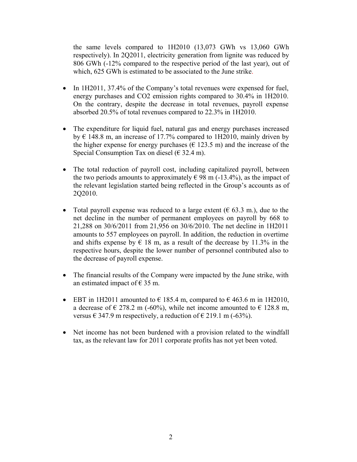the same levels compared to 1H2010 (13,073 GWh vs 13,060 GWh respectively). In 2Q2011, electricity generation from lignite was reduced by 806 GWh (-12% compared to the respective period of the last year), out of which, 625 GWh is estimated to be associated to the June strike.

- In 1H2011, 37.4% of the Company's total revenues were expensed for fuel, energy purchases and CO2 emission rights compared to 30.4% in 1H2010. On the contrary, despite the decrease in total revenues, payroll expense absorbed 20.5% of total revenues compared to 22.3% in 1H2010.
- The expenditure for liquid fuel, natural gas and energy purchases increased by  $\epsilon$  148.8 m, an increase of 17.7% compared to 1H2010, mainly driven by the higher expense for energy purchases ( $\in$  123.5 m) and the increase of the Special Consumption Tax on diesel ( $\epsilon$  32.4 m).
- The total reduction of payroll cost, including capitalized payroll, between the two periods amounts to approximately  $\in$  98 m (-13.4%), as the impact of the relevant legislation started being reflected in the Group's accounts as of 2Q2010.
- Total payroll expense was reduced to a large extent ( $\epsilon$  63.3 m.), due to the net decline in the number of permanent employees on payroll by 668 to 21,288 on 30/6/2011 from 21,956 on 30/6/2010. The net decline in 1Η2011 amounts to 557 employees on payroll. In addition, the reduction in overtime and shifts expense by  $\epsilon$  18 m, as a result of the decrease by 11.3% in the respective hours, despite the lower number of personnel contributed also to the decrease of payroll expense.
- The financial results of the Company were impacted by the June strike, with an estimated impact of  $\epsilon$  35 m.
- EBT in 1H2011 amounted to  $\epsilon$  185.4 m, compared to  $\epsilon$  463.6 m in 1H2010, a decrease of  $\in$  278.2 m (-60%), while net income amounted to  $\in$  128.8 m, versus  $\in$  347.9 m respectively, a reduction of  $\in$  219.1 m (-63%).
- Net income has not been burdened with a provision related to the windfall tax, as the relevant law for 2011 corporate profits has not yet been voted.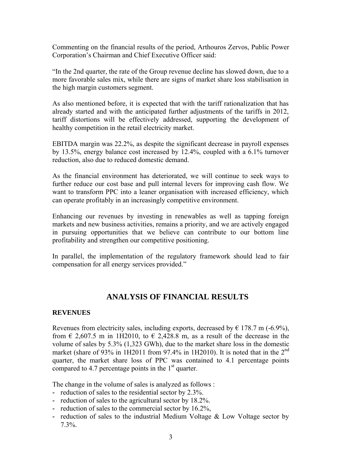Commenting on the financial results of the period, Arthouros Zervos, Public Power Corporation's Chairman and Chief Executive Officer said:

"In the 2nd quarter, the rate of the Group revenue decline has slowed down, due to a more favorable sales mix, while there are signs of market share loss stabilisation in the high margin customers segment.

As also mentioned before, it is expected that with the tariff rationalization that has already started and with the anticipated further adjustments of the tariffs in 2012, tariff distortions will be effectively addressed, supporting the development of healthy competition in the retail electricity market.

EBITDA margin was 22.2%, as despite the significant decrease in payroll expenses by 13.5%, energy balance cost increased by 12.4%, coupled with a 6.1% turnover reduction, also due to reduced domestic demand.

As the financial environment has deteriorated, we will continue to seek ways to further reduce our cost base and pull internal levers for improving cash flow. We want to transform PPC into a leaner organisation with increased efficiency, which can operate profitably in an increasingly competitive environment.

Enhancing our revenues by investing in renewables as well as tapping foreign markets and new business activities, remains a priority, and we are actively engaged in pursuing opportunities that we believe can contribute to our bottom line profitability and strengthen our competitive positioning.

In parallel, the implementation of the regulatory framework should lead to fair compensation for all energy services provided."

### **ANALYSIS OF FINANCIAL RESULTS**

#### **REVENUES**

Revenues from electricity sales, including exports, decreased by  $\epsilon$  178.7 m (-6.9%), from  $\epsilon$  2,607.5 m in 1H2010, to  $\epsilon$  2,428.8 m, as a result of the decrease in the volume of sales by 5.3% (1,323 GWh), due to the market share loss in the domestic market (share of 93% in 1H2011 from 97.4% in 1H2010). It is noted that in the  $2^{nd}$ quarter, the market share loss of PPC was contained to 4.1 percentage points compared to 4.7 percentage points in the  $1<sup>st</sup>$  quarter.

The change in the volume of sales is analyzed as follows :

- **-** reduction of sales to the residential sector by 2.3%.
- **-** reduction of sales to the agricultural sector by 18.2%.
- **-** reduction of sales to the commercial sector by 16.2%,
- **-** reduction of sales to the industrial Medium Voltage & Low Voltage sector by 7.3%.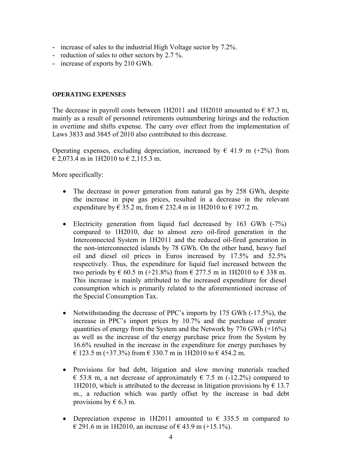- **-** increase of sales to the industrial High Voltage sector by 7.2%.
- **-** reduction of sales to other sectors by 2.7 %.
- **-** increase of exports by 210 GWh.

#### **OPERATING EXPENSES**

The decrease in payroll costs between 1H2011 and 1H2010 amounted to  $\epsilon$  87.3 m, mainly as a result of personnel retirements outnumbering hirings and the reduction in overtime and shifts expense. The carry over effect from the implementation of Laws 3833 and 3845 of 2010 also contributed to this decrease.

Operating expenses, excluding depreciation, increased by  $\epsilon$  41.9 m (+2%) from  $\in$  2,073.4 m in 1H2010 to  $\in$  2,115.3 m.

More specifically:

- The decrease in power generation from natural gas by 258 GWh, despite the increase in pipe gas prices, resulted in a decrease in the relevant expenditure by  $\epsilon$  35.2 m, from  $\epsilon$  232.4 m in 1H2010 to  $\epsilon$  197.2 m.
- Electricity generation from liquid fuel decreased by 163 GWh (-7%) compared to 1H2010, due to almost zero oil-fired generation in the Interconnected System in 1H2011 and the reduced oil-fired generation in the non-interconnected islands by 78 GWh. On the other hand, heavy fuel oil and diesel oil prices in Euros increased by 17.5% and 52.5% respectively. Thus, the expenditure for liquid fuel increased between the two periods by  $\epsilon$  60.5 m (+21.8%) from  $\epsilon$  277.5 m in 1H2010 to  $\epsilon$  338 m. This increase is mainly attributed to the increased expenditure for diesel consumption which is primarily related to the aforementioned increase of the Special Consumption Tax.
- Notwithstanding the decrease of PPC's imports by 175 GWh (-17.5%), the increase in PPC's import prices by 10.7% and the purchase of greater quantities of energy from the System and the Network by  $776$  GWh  $(+16%)$ as well as the increase of the energy purchase price from the System by 16.6% resulted in the increase in the expenditure for energy purchases by € 123.5 m (+37.3%) from € 330.7 m in 1H2010 to € 454.2 m.
- Provisions for bad debt, litigation and slow moving materials reached € 53.8 m, a net decrease of approximately  $∈$  7.5 m (-12.2%) compared to 1H2010, which is attributed to the decrease in litigation provisions by  $\epsilon$  13.7 m., a reduction which was partly offset by the increase in bad debt provisions by  $\in$  6.3 m.
- Depreciation expense in 1H2011 amounted to  $\epsilon$  335.5 m compared to € 291.6 m in 1H2010, an increase of  $€$  43.9 m (+15.1%).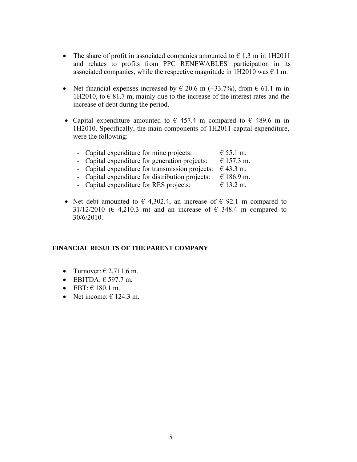- The share of profit in associated companies amounted to  $\epsilon$  1.3 m in 1H2011 and relates to profits from PPC RENEWABLES' participation in its associated companies, while the respective magnitude in 1H2010 was  $\epsilon$  1 m.
- Net financial expenses increased by  $\in$  20.6 m (+33.7%), from  $\in$  61.1 m in 1H2010, to  $\in$  81.7 m, mainly due to the increase of the interest rates and the increase of debt during the period.
- Capital expenditure amounted to  $\epsilon$  457.4 m compared to  $\epsilon$  489.6 m in 1H2010. Specifically, the main components of 1H2011 capital expenditure, were the following:

| - Capital expenditure for mine projects:         | $\epsilon$ 55.1 m. |
|--------------------------------------------------|--------------------|
| - Capital expenditure for generation projects:   | € 157.3 m.         |
| - Capital expenditure for transmission projects: | € 43.3 m.          |
| - Capital expenditure for distribution projects: | € 186.9 m.         |
| - Capital expenditure for RES projects:          | € 13.2 m.          |

• Net debt amounted to  $\epsilon$  4,302.4, an increase of  $\epsilon$  92.1 m compared to 31/12/2010 ( $\in$  4,210.3 m) and an increase of  $\in$  348.4 m compared to 30/6/2010.

#### **FINANCIAL RESULTS OF THE PARENT COMPANY**

- Turnover:  $\epsilon$  2,711.6 m.
- $\bullet$  EBITDA:  $\epsilon$  597.7 m.
- EBT:  $\in$  180.1 m.
- Net income:  $\in$  124.3 m.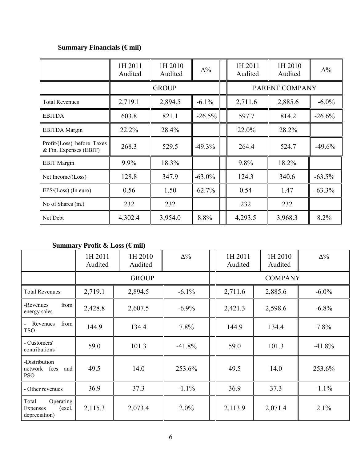# **Summary Financials (€ mil)**

|                                                      | 1H 2011<br>Audited | 1H 2010<br>Audited | $\Delta\%$ | 1H 2011<br>Audited | 1H 2010<br>Audited | $\Delta\%$ |  |
|------------------------------------------------------|--------------------|--------------------|------------|--------------------|--------------------|------------|--|
|                                                      | <b>GROUP</b>       |                    |            | PARENT COMPANY     |                    |            |  |
| 2,719.1<br><b>Total Revenues</b>                     |                    | 2,894.5            | $-6.1\%$   | 2,711.6            | 2,885.6            | $-6.0\%$   |  |
| <b>EBITDA</b>                                        | 603.8              | 821.1              | $-26.5%$   | 597.7              | 814.2              | $-26.6%$   |  |
| <b>EBITDA</b> Margin                                 | 22.2%              | 28.4%              |            | 22.0%              | 28.2%              |            |  |
| Profit/(Loss) before Taxes<br>& Fin. Expenses (EBIT) | 268.3              | 529.5              | $-49.3%$   | 264.4              | 524.7              | $-49.6%$   |  |
| <b>EBIT</b> Margin                                   | 9.9%               | 18.3%              |            | 9.8%               | 18.2%              |            |  |
| Net Income/(Loss)                                    | 128.8              | 347.9              | $-63.0\%$  | 124.3              | 340.6              | $-63.5%$   |  |
| $EPS/(Loss)$ (In euro)                               | 0.56               | 1.50               | $-62.7%$   | 0.54               | 1.47               | $-63.3%$   |  |
| No of Shares (m.)                                    | 232                | 232                |            | 232                | 232                |            |  |
| Net Debt                                             | 4,302.4            | 3,954.0            | 8.8%       | 4,293.5            | 3,968.3            | 8.2%       |  |

# Summary Profit & Loss (€mil)

|                                                           | 1H 2011<br>Audited | 1H 2010<br>Audited | $\Delta\%$ |  | 1H 2011<br>Audited | 1H 2010<br>Audited | $\Delta\%$ |  |
|-----------------------------------------------------------|--------------------|--------------------|------------|--|--------------------|--------------------|------------|--|
|                                                           |                    | <b>GROUP</b>       |            |  | <b>COMPANY</b>     |                    |            |  |
| <b>Total Revenues</b>                                     | 2,719.1            | 2,894.5            | $-6.1\%$   |  | 2,711.6            | 2,885.6            | $-6.0\%$   |  |
| from<br>-Revenues<br>energy sales                         | 2,428.8            | 2,607.5            | $-6.9\%$   |  | 2,421.3            | 2,598.6            | $-6.8\%$   |  |
| from<br>Revenues<br><b>TSO</b>                            | 144.9              | 134.4              | 7.8%       |  | 144.9              | 134.4              | 7.8%       |  |
| - Customers'<br>contributions                             | 59.0               | 101.3              | $-41.8%$   |  | 59.0               | 101.3              | $-41.8%$   |  |
| -Distribution<br>network<br>fees<br>and<br><b>PSO</b>     | 49.5               | 14.0               | 253.6%     |  | 49.5               | 14.0               | 253.6%     |  |
| - Other revenues                                          | 36.9               | 37.3               | $-1.1\%$   |  | 36.9               | 37.3               | $-1.1\%$   |  |
| Total<br>Operating<br>(excl.<br>Expenses<br>depreciation) | 2,115.3            | 2,073.4            | $2.0\%$    |  | 2,113.9            | 2,071.4            | 2.1%       |  |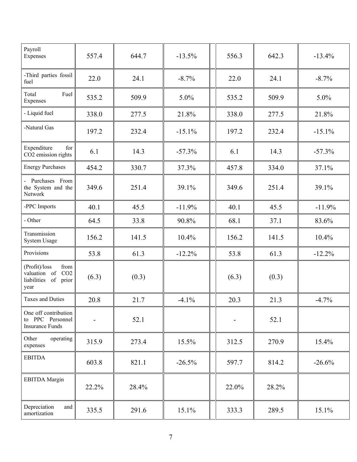| Payroll<br>Expenses                                                          | 557.4 | 644.7 | $-13.5%$ |       | 556.3          | 642.3    | $-13.4%$ |  |
|------------------------------------------------------------------------------|-------|-------|----------|-------|----------------|----------|----------|--|
| -Third parties fossil<br>22.0<br>24.1<br>$-8.7%$<br>fuel                     |       |       |          | 22.0  | 24.1           | $-8.7\%$ |          |  |
| Total<br>Fuel<br>Expenses                                                    | 535.2 | 509.9 | 5.0%     |       | 535.2          | 509.9    | 5.0%     |  |
| - Liquid fuel                                                                | 338.0 | 277.5 | 21.8%    |       | 338.0          | 277.5    | 21.8%    |  |
| -Natural Gas                                                                 | 197.2 | 232.4 | $-15.1%$ |       | 197.2          | 232.4    | $-15.1%$ |  |
| Expenditure<br>for<br>CO2 emission rights                                    | 6.1   | 14.3  | $-57.3%$ |       | 6.1            | 14.3     | $-57.3%$ |  |
| <b>Energy Purchases</b>                                                      | 454.2 | 330.7 | 37.3%    |       | 457.8<br>334.0 |          | 37.1%    |  |
| - Purchases From<br>the System and the<br>Network                            | 349.6 | 251.4 | 39.1%    |       | 349.6          | 251.4    | 39.1%    |  |
| -PPC Imports                                                                 | 40.1  | 45.5  | $-11.9%$ |       |                | 45.5     | $-11.9%$ |  |
| - Other                                                                      | 64.5  | 33.8  | 90.8%    |       | 68.1           | 37.1     | 83.6%    |  |
| Transmission<br>System Usage                                                 | 156.2 | 141.5 | 10.4%    | 156.2 |                | 141.5    | 10.4%    |  |
| Provisions                                                                   | 53.8  | 61.3  | $-12.2%$ |       | 53.8           | 61.3     | $-12.2%$ |  |
| (Profit)/loss<br>from<br>valuation of CO2<br>liabilities<br>of prior<br>year | (6.3) | (0.3) |          |       | (6.3)          | (0.3)    |          |  |
| <b>Taxes and Duties</b>                                                      | 20.8  | 21.7  | $-4.1%$  |       | 20.3           | 21.3     | $-4.7%$  |  |
| One off contribution<br>to PPC Personnel<br><b>Insurance Funds</b>           |       | 52.1  |          |       | -              | 52.1     |          |  |
| Other<br>operating<br>expenses                                               | 315.9 | 273.4 | 15.5%    |       | 312.5          | 270.9    | 15.4%    |  |
| <b>EBITDA</b>                                                                | 603.8 | 821.1 | $-26.5%$ |       | 597.7          | 814.2    | $-26.6%$ |  |
| <b>EBITDA</b> Margin                                                         | 22.2% | 28.4% |          |       | 22.0%          | 28.2%    |          |  |
| Depreciation<br>and<br>amortization                                          | 335.5 | 291.6 | 15.1%    |       | 333.3          | 289.5    | 15.1%    |  |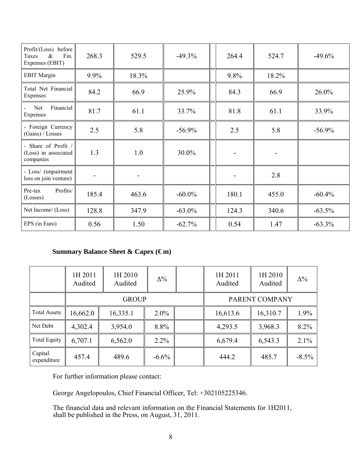| Profit/(Loss) before<br>Taxes<br>$\&$<br>Fin.<br>Expenses (EBIT) | 268.3   | 529.5 | $-49.3%$  | 264.4        | 524.7 | $-49.6%$  |  |
|------------------------------------------------------------------|---------|-------|-----------|--------------|-------|-----------|--|
| <b>EBIT</b> Margin                                               | $9.9\%$ | 18.3% |           | 9.8%         | 18.2% |           |  |
| Total Net Financial<br>Expenses                                  | 84.2    | 66.9  | 25.9%     | 84.3         | 66.9  | $26.0\%$  |  |
| Financial<br>Net<br>Expenses                                     | 81.7    | 61.1  | 33.7%     | 81.8<br>61.1 |       | 33.9%     |  |
| - Foreign Currency<br>(Gains) / Losses                           | 2.5     | 5.8   | $-56.9%$  | 2.5          | 5.8   | $-56.9\%$ |  |
| - Share of Profit /<br>(Loss) in associated<br>companies         | 1.3     | 1.0   | 30.0%     |              |       |           |  |
| - Loss/ (impairment<br>loss on join venture)                     |         |       |           |              | 2.8   |           |  |
| Profits/<br>Pre-tax<br>(Losses)                                  | 185.4   | 463.6 | $-60.0\%$ | 180.1        | 455.0 | $-60.4%$  |  |
| Net Income/ (Loss)                                               | 128.8   | 347.9 | $-63.0\%$ | 124.3        | 340.6 | $-63.5%$  |  |
| EPS (in Euro)                                                    | 0.56    | 1.50  | $-62.7%$  | 0.54         | 1.47  | $-63.3%$  |  |

# **Summary Balance Sheet & Capex (€m)**

|                        | 1H 2011<br>Audited | 1H 2010<br>Audited | $\Delta\%$ |                | 1H 2011<br>Audited | 1H 2010<br>Audited | $\Delta\%$ |
|------------------------|--------------------|--------------------|------------|----------------|--------------------|--------------------|------------|
|                        |                    | <b>GROUP</b>       |            | PARENT COMPANY |                    |                    |            |
| <b>Total Assets</b>    | 16,662.0           | 16,335.1           | $2.0\%$    |                | 16,613.6           | 16,310.7           | 1.9%       |
| Net Debt               | 4,302.4            | 3,954.0            | 8.8%       |                | 4,293.5            | 3,968.3            | 8.2%       |
| <b>Total Equity</b>    | 6,707.1            | 6,562.0            | $2.2\%$    |                | 6,679.4            | 6,543.3            | 2.1%       |
| Capital<br>expenditure | 457.4              | 489.6              | $-6.6\%$   |                | 444.2              | 485.7              | $-8.5\%$   |

For further information please contact:

George Angelopoulos, Chief Financial Officer, Tel: +302105225346.

The financial data and relevant information on the Financial Statements for 1H2011, shall be published in the Press, on August, 31, 2011.